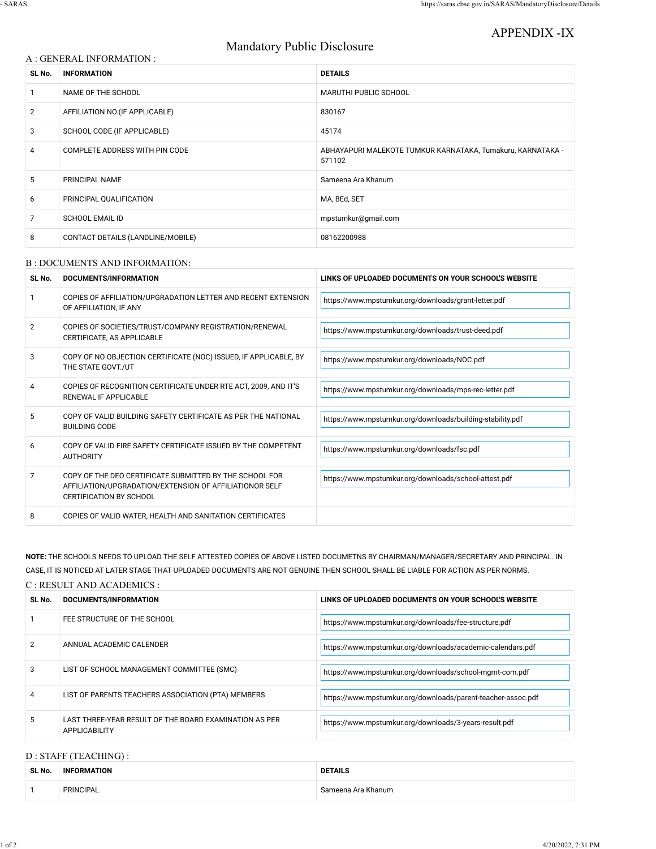# APPENDIX -IX

| <b>Mandatory Public Disclosure</b> |  |  |
|------------------------------------|--|--|
|                                    |  |  |

| ╯<br>A : GENERAL INFORMATION : |                                   |                                                                       |  |  |
|--------------------------------|-----------------------------------|-----------------------------------------------------------------------|--|--|
| SL No.                         | <b>INFORMATION</b>                | <b>DETAILS</b>                                                        |  |  |
| 1                              | NAME OF THE SCHOOL                | <b>MARUTHI PUBLIC SCHOOL</b>                                          |  |  |
| 2                              | AFFILIATION NO. (IF APPLICABLE)   | 830167                                                                |  |  |
| 3                              | SCHOOL CODE (IF APPLICABLE)       | 45174                                                                 |  |  |
| 4                              | COMPLETE ADDRESS WITH PIN CODE    | ABHAYAPURI MALEKOTE TUMKUR KARNATAKA, Tumakuru, KARNATAKA -<br>571102 |  |  |
| 5                              | PRINCIPAL NAME                    | Sameena Ara Khanum                                                    |  |  |
| 6                              | PRINCIPAL QUALIFICATION           | MA, BEd, SET                                                          |  |  |
| 7                              | <b>SCHOOL EMAIL ID</b>            | mpstumkur@gmail.com                                                   |  |  |
| 8                              | CONTACT DETAILS (LANDLINE/MOBILE) | 08162200988                                                           |  |  |

#### B : DOCUMENTS AND INFORMATION:

| SL No.         | DOCUMENTS/INFORMATION                                                                                                                         | LINKS OF UPLOADED DOCUMENTS ON YOUR SCHOOL'S WEBSITE       |
|----------------|-----------------------------------------------------------------------------------------------------------------------------------------------|------------------------------------------------------------|
|                | COPIES OF AFFILIATION/UPGRADATION LETTER AND RECENT EXTENSION<br>OF AFFILIATION, IF ANY                                                       | https://www.mpstumkur.org/downloads/grant-letter.pdf       |
| $\overline{2}$ | COPIES OF SOCIETIES/TRUST/COMPANY REGISTRATION/RENEWAL<br>CERTIFICATE, AS APPLICABLE                                                          | https://www.mpstumkur.org/downloads/trust-deed.pdf         |
| 3              | COPY OF NO OBJECTION CERTIFICATE (NOC) ISSUED, IF APPLICABLE, BY<br>THE STATE GOVT./UT                                                        | https://www.mpstumkur.org/downloads/NOC.pdf                |
| 4              | COPIES OF RECOGNITION CERTIFICATE UNDER RTE ACT, 2009, AND IT'S<br>RENEWAL IF APPLICABLE                                                      | https://www.mpstumkur.org/downloads/mps-rec-letter.pdf     |
| 5              | COPY OF VALID BUILDING SAFETY CERTIFICATE AS PER THE NATIONAL<br><b>BUILDING CODE</b>                                                         | https://www.mpstumkur.org/downloads/building-stability.pdf |
| 6              | COPY OF VALID FIRE SAFETY CERTIFICATE ISSUED BY THE COMPETENT<br>AUTHORITY                                                                    | https://www.mpstumkur.org/downloads/fsc.pdf                |
| 7              | COPY OF THE DEO CERTIFICATE SUBMITTED BY THE SCHOOL FOR<br>AFFILIATION/UPGRADATION/EXTENSION OF AFFILIATIONOR SELF<br>CERTIFICATION BY SCHOOL | https://www.mpstumkur.org/downloads/school-attest.pdf      |
| 8              | COPIES OF VALID WATER, HEALTH AND SANITATION CERTIFICATES                                                                                     |                                                            |

**NOTE:** THE SCHOOLS NEEDS TO UPLOAD THE SELF ATTESTED COPIES OF ABOVE LISTED DOCUMETNS BY CHAIRMAN/MANAGER/SECRETARY AND PRINCIPAL. IN CASE, IT IS NOTICED AT LATER STAGE THAT UPLOADED DOCUMENTS ARE NOT GENUINE THEN SCHOOL SHALL BE LIABLE FOR ACTION AS PER NORMS. C : RESULT AND ACADEMICS :

| SL No. | DOCUMENTS/INFORMATION                                                          | LINKS OF UPLOADED DOCUMENTS ON YOUR SCHOOL'S WEBSITE         |
|--------|--------------------------------------------------------------------------------|--------------------------------------------------------------|
|        | FEE STRUCTURE OF THE SCHOOL                                                    | https://www.mpstumkur.org/downloads/fee-structure.pdf        |
|        | ANNUAL ACADEMIC CALENDER                                                       | https://www.mpstumkur.org/downloads/academic-calendars.pdf   |
| 3      | LIST OF SCHOOL MANAGEMENT COMMITTEE (SMC)                                      | https://www.mpstumkur.org/downloads/school-mgmt-com.pdf      |
| 4      | LIST OF PARENTS TEACHERS ASSOCIATION (PTA) MEMBERS                             | https://www.mpstumkur.org/downloads/parent-teacher-assoc.pdf |
| 5      | LAST THREE-YEAR RESULT OF THE BOARD EXAMINATION AS PER<br><b>APPLICABILITY</b> | https://www.mpstumkur.org/downloads/3-years-result.pdf       |

#### D : STAFF (TEACHING) :

| SL No. | <b>INFORMATION</b> | <b>DETAILS</b>           |
|--------|--------------------|--------------------------|
|        | PRINCIPAL          | Khanum<br>Sameena<br>Ara |